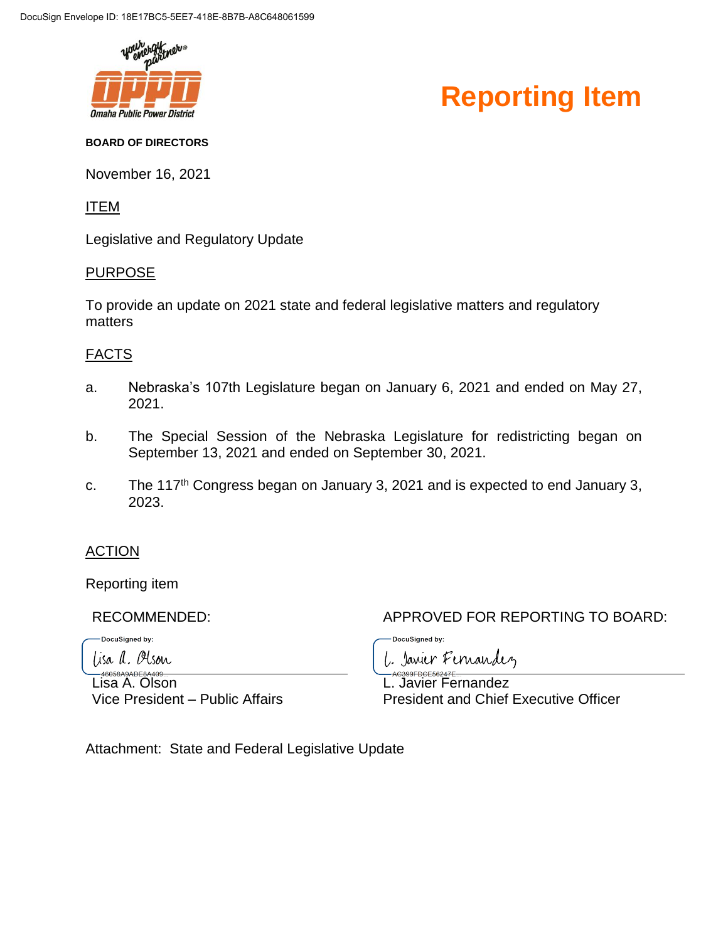

### **Reporting Item**

#### **BOARD OF DIRECTORS**

November 16, 2021

#### ITEM

Legislative and Regulatory Update

#### PURPOSE

To provide an update on 2021 state and federal legislative matters and regulatory matters

### FACTS

- a. Nebraska's 107th Legislature began on January 6, 2021 and ended on May 27, 2021.
- b. The Special Session of the Nebraska Legislature for redistricting began on September 13, 2021 and ended on September 30, 2021.
- c. The 117<sup>th</sup> Congress began on January 3, 2021 and is expected to end January 3, 2023.

### **ACTION**

Reporting item

DocuSigned by:

lisa a. Olson

Lisa A. Olson Vice President – Public Affairs

RECOMMENDED: APPROVED FOR REPORTING TO BOARD:

DocuSigned by: L. Janier Fernandez

L. Javier Fernandez President and Chief Executive Officer

Attachment: State and Federal Legislative Update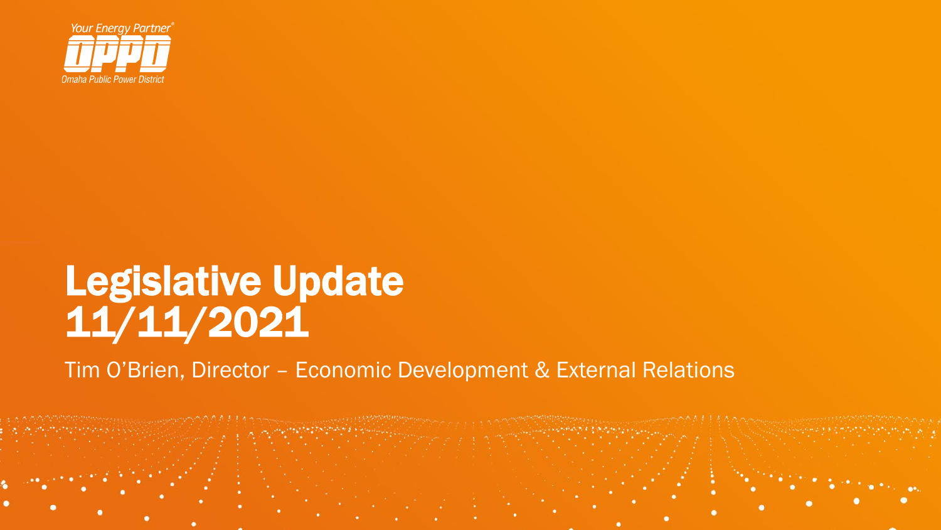

## Legislative Update 11/11/2021

Tim O'Brien, Director – Economic Development & External Relations

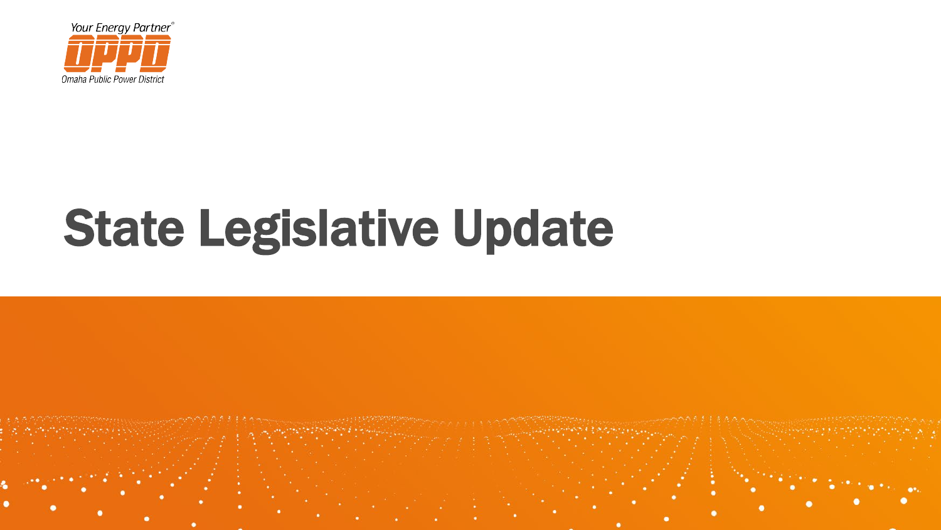

# State Legislative Update

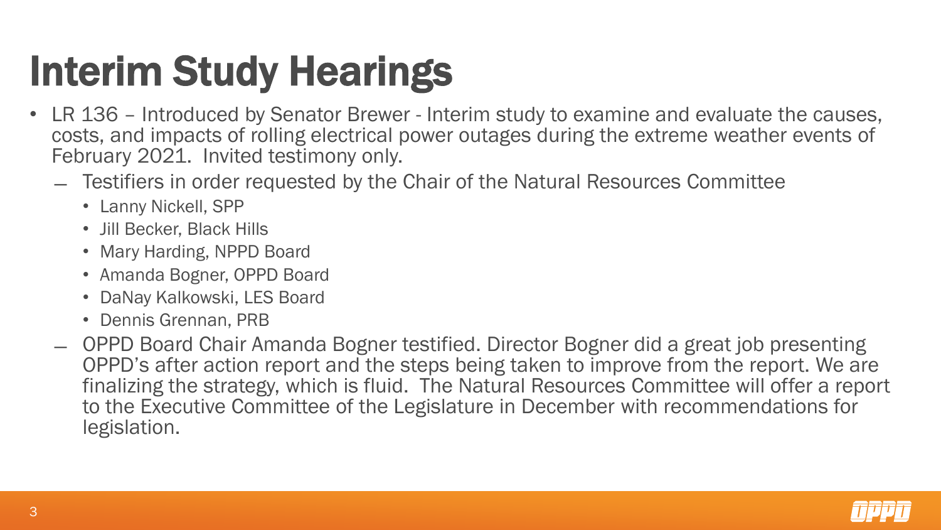## Interim Study Hearings

- LR 136 Introduced by Senator Brewer Interim study to examine and evaluate the causes, costs, and impacts of rolling electrical power outages during the extreme weather events of February 2021. Invited testimony only.
	- ̶ Testifiers in order requested by the Chair of the Natural Resources Committee
		- Lanny Nickell, SPP
		- Jill Becker, Black Hills
		- Mary Harding, NPPD Board
		- Amanda Bogner, OPPD Board
		- DaNay Kalkowski, LES Board
		- Dennis Grennan, PRB
	- ̶ OPPD Board Chair Amanda Bogner testified. Director Bogner did a great job presenting OPPD's after action report and the steps being taken to improve from the report. We are finalizing the strategy, which is fluid. The Natural Resources Committee will offer a report to the Executive Committee of the Legislature in December with recommendations for legislation.

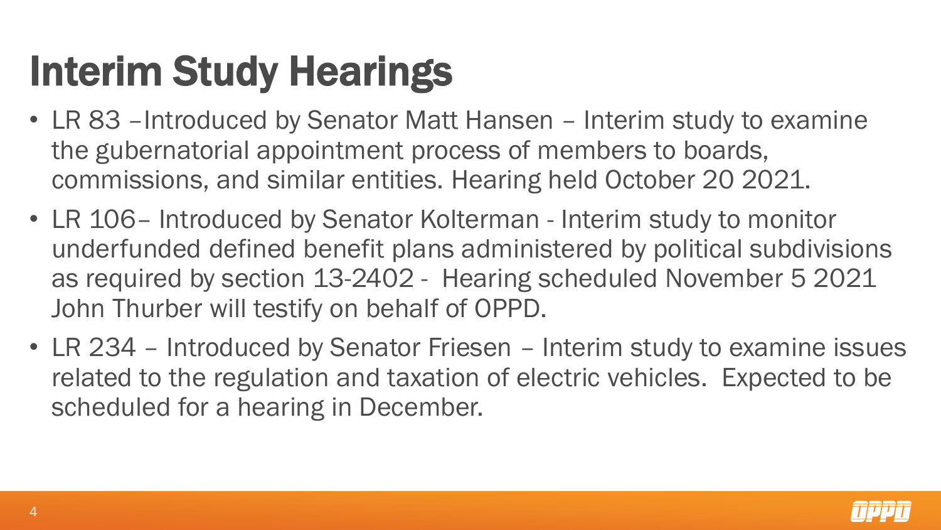## Interim Study Hearings

- LR 83 Introduced by Senator Matt Hansen Interim study to examine the gubernatorial appointment process of members to boards, commissions, and similar entities. Hearing held October 20 2021.
- LR 106– Introduced by Senator Kolterman Interim study to monitor underfunded defined benefit plans administered by political subdivisions as required by section 13-2402 - Hearing scheduled November 5 2021 John Thurber will testify on behalf of OPPD.
- LR 234 Introduced by Senator Friesen Interim study to examine issues related to the regulation and taxation of electric vehicles. Expected to be scheduled for a hearing in December.

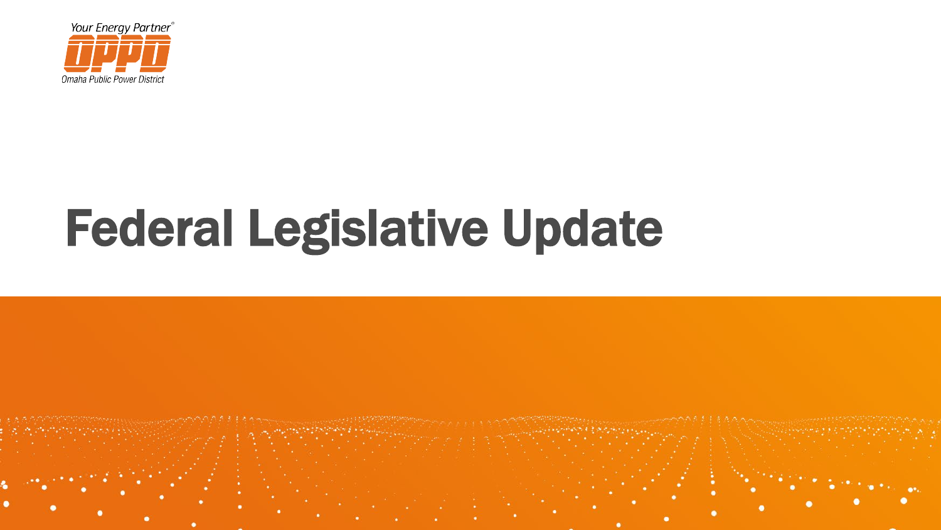

# Federal Legislative Update

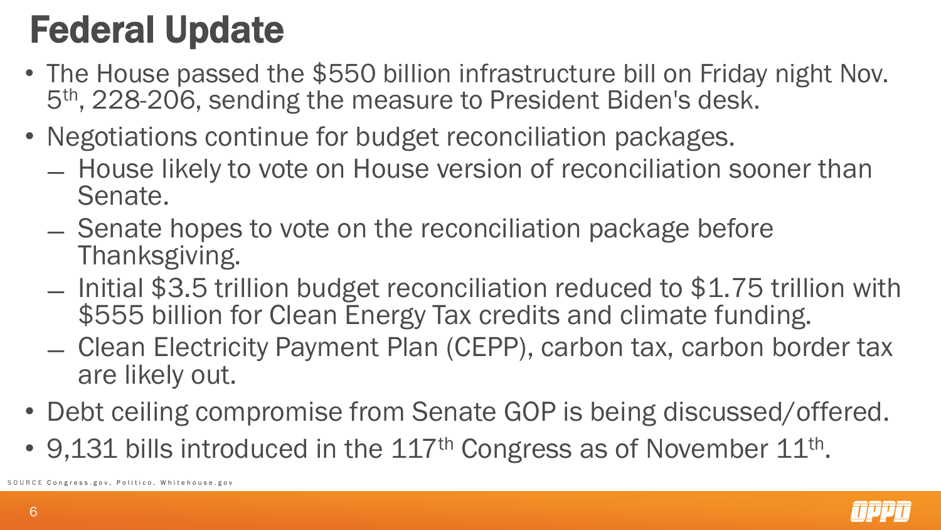## Federal Update

- The House passed the \$550 billion infrastructure bill on Friday night Nov. 5th , 228-206, sending the measure to President Biden's desk.
- Negotiations continue for budget reconciliation packages.
	- ̶ House likely to vote on House version of reconciliation sooner than Senate.
	- ̶ Senate hopes to vote on the reconciliation package before Thanksgiving.
	- ̶ Initial \$3.5 trillion budget reconciliation reduced to \$1.75 trillion with \$555 billion for Clean Energy Tax credits and climate funding.
	- ̶ Clean Electricity Payment Plan (CEPP), carbon tax, carbon border tax are likely out.
- Debt ceiling compromise from Senate GOP is being discussed/offered.
- 9,131 bills introduced in the 117<sup>th</sup> Congress as of November 11<sup>th</sup>.<br>
SEC Congress.gov, Politico, Whitehouse.gov

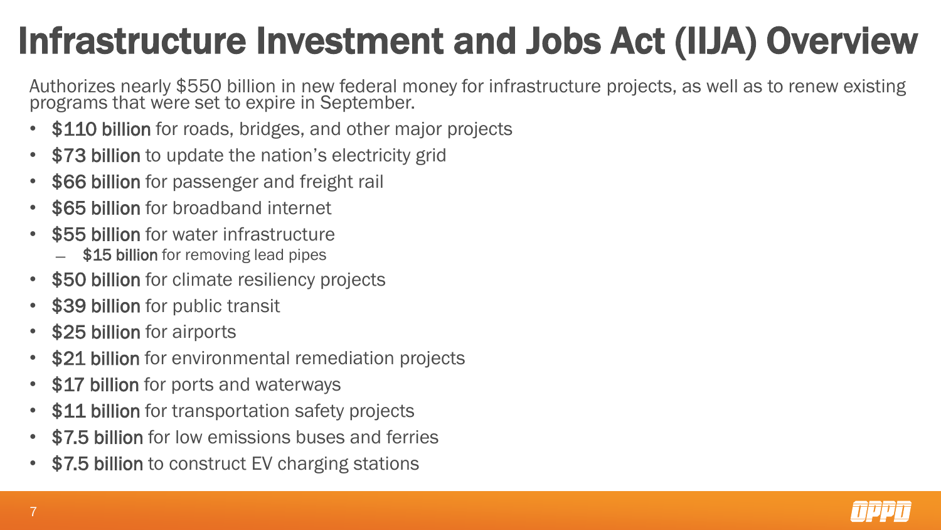## Infrastructure Investment and Jobs Act (IIJA) Overview

Authorizes nearly \$550 billion in new federal money for infrastructure projects, as well as to renew existing programs that were set to expire in September.

- \$110 billion for roads, bridges, and other major projects
- \$73 billion to update the nation's electricity grid
- \$66 billion for passenger and freight rail
- \$65 billion for broadband internet
- \$55 billion for water infrastructure
	- \$15 billion for removing lead pipes
- \$50 billion for climate resiliency projects
- \$39 billion for public transit
- \$25 billion for airports
- \$21 billion for environmental remediation projects
- \$17 billion for ports and waterways
- \$11 billion for transportation safety projects
- \$7.5 billion for low emissions buses and ferries
- \$7.5 billion to construct EV charging stations

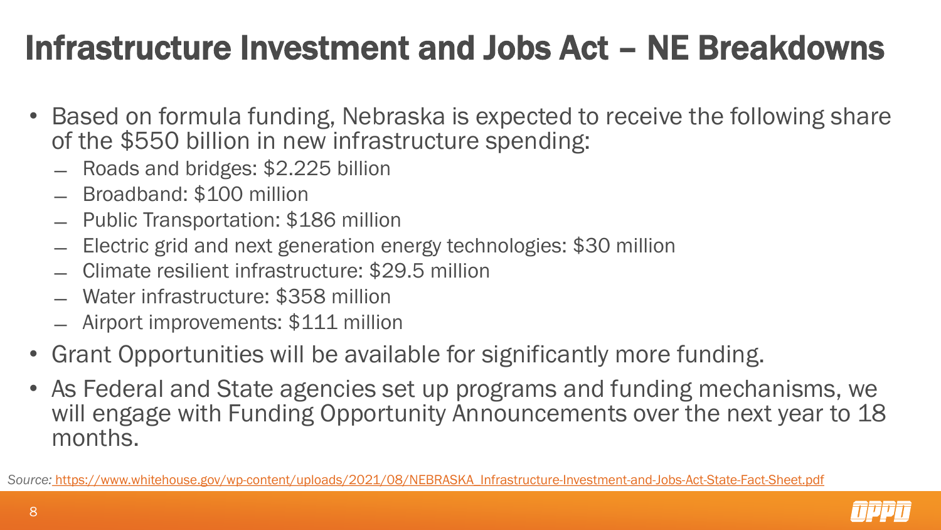### Infrastructure Investment and Jobs Act – NE Breakdowns

- Based on formula funding, Nebraska is expected to receive the following share of the \$550 billion in new infrastructure spending:
	- ̶ Roads and bridges: \$2.225 billion
	- ̶ Broadband: \$100 million
	- ̶ Public Transportation: \$186 million
	- ̶ Electric grid and next generation energy technologies: \$30 million
	- ̶ Climate resilient infrastructure: \$29.5 million
	- ̶ Water infrastructure: \$358 million
	- ̶ Airport improvements: \$111 million
- Grant Opportunities will be available for significantly more funding.
- As Federal and State agencies set up programs and funding mechanisms, we will engage with Funding Opportunity Announcements over the next year to 18 months.

*Source:* [https://www.whitehouse.gov/wp-content/uploads/2021/08/NEBRASKA\\_Infrastructure-Investment-and-Jobs-Act-State-Fact-Sheet.pdf](https://www.whitehouse.gov/wp-content/uploads/2021/08/NEBRASKA_Infrastructure-Investment-and-Jobs-Act-State-Fact-Sheet.pdf)